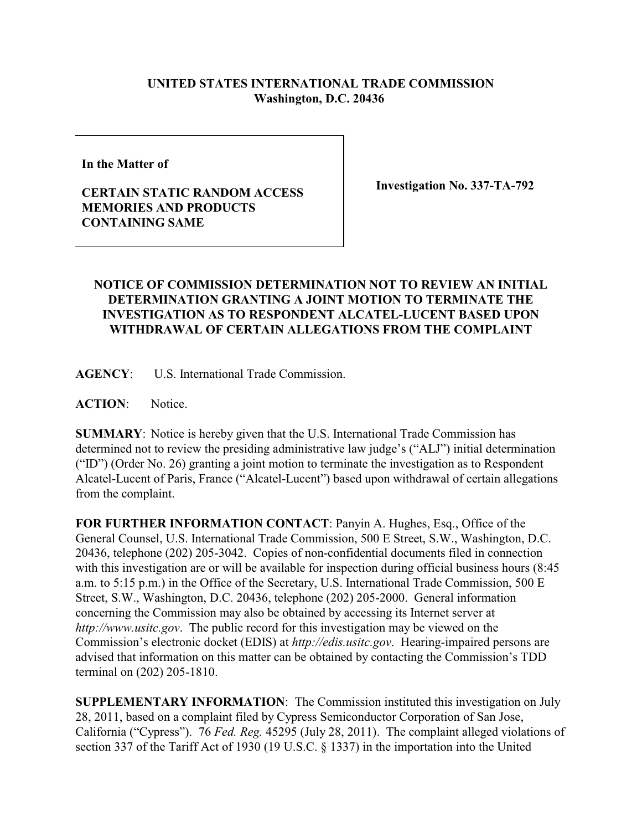## **UNITED STATES INTERNATIONAL TRADE COMMISSION Washington, D.C. 20436**

**In the Matter of** 

## **CERTAIN STATIC RANDOM ACCESS MEMORIES AND PRODUCTS CONTAINING SAME**

**Investigation No. 337-TA-792**

## **NOTICE OF COMMISSION DETERMINATION NOT TO REVIEW AN INITIAL DETERMINATION GRANTING A JOINT MOTION TO TERMINATE THE INVESTIGATION AS TO RESPONDENT ALCATEL-LUCENT BASED UPON WITHDRAWAL OF CERTAIN ALLEGATIONS FROM THE COMPLAINT**

**AGENCY**: U.S. International Trade Commission.

**ACTION**: Notice.

**SUMMARY**: Notice is hereby given that the U.S. International Trade Commission has determined not to review the presiding administrative law judge's ("ALJ") initial determination ("ID") (Order No. 26) granting a joint motion to terminate the investigation as to Respondent Alcatel-Lucent of Paris, France ("Alcatel-Lucent") based upon withdrawal of certain allegations from the complaint.

**FOR FURTHER INFORMATION CONTACT**: Panyin A. Hughes, Esq., Office of the General Counsel, U.S. International Trade Commission, 500 E Street, S.W., Washington, D.C. 20436, telephone (202) 205-3042. Copies of non-confidential documents filed in connection with this investigation are or will be available for inspection during official business hours (8:45) a.m. to 5:15 p.m.) in the Office of the Secretary, U.S. International Trade Commission, 500 E Street, S.W., Washington, D.C. 20436, telephone (202) 205-2000. General information concerning the Commission may also be obtained by accessing its Internet server at *http://www.usitc.gov*. The public record for this investigation may be viewed on the Commission's electronic docket (EDIS) at *http://edis.usitc.gov*. Hearing-impaired persons are advised that information on this matter can be obtained by contacting the Commission's TDD terminal on (202) 205-1810.

**SUPPLEMENTARY INFORMATION**: The Commission instituted this investigation on July 28, 2011, based on a complaint filed by Cypress Semiconductor Corporation of San Jose, California ("Cypress"). 76 *Fed. Reg.* 45295 (July 28, 2011). The complaint alleged violations of section 337 of the Tariff Act of 1930 (19 U.S.C. § 1337) in the importation into the United